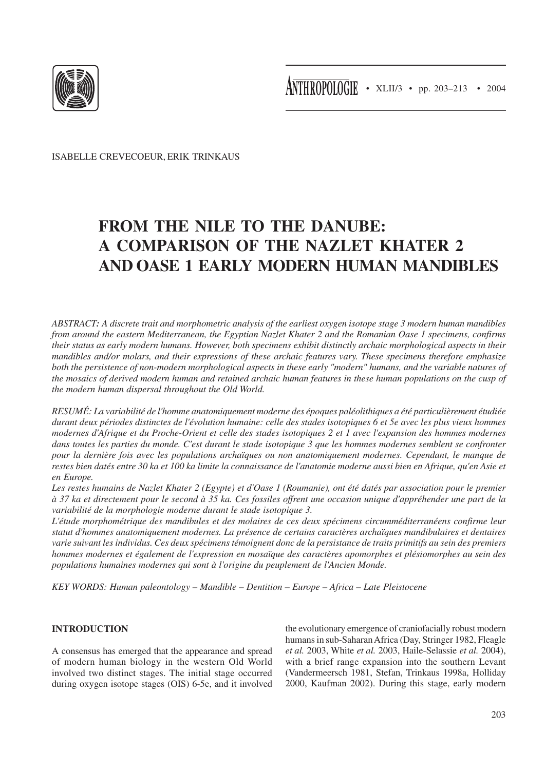

ISABELLE CREVECOEUR, ERIK TRINKAUS

# **FROM THE NILE TO THE DANUBE: A COMPARISON OF THE NAZLET KHATER 2 AND OASE 1 EARLY MODERN HUMAN MANDIBLES**

*ABSTRACT: A discrete trait and morphometric analysis of the earliest oxygen isotope stage 3 modern human mandibles from around the eastern Mediterranean, the Egyptian Nazlet Khater 2 and the Romanian Oase 1 specimens, confirms their status as early modern humans. However, both specimens exhibit distinctly archaic morphological aspects in their mandibles and/or molars, and their expressions of these archaic features vary. These specimens therefore emphasize both the persistence of non-modern morphological aspects in these early "modern" humans, and the variable natures of the mosaics of derived modern human and retained archaic human features in these human populations on the cusp of the modern human dispersal throughout the Old World.*

*RESUMÉ: La variabilité de l'homme anatomiquement moderne des époques paléolithiques a été particulièrement étudiée durant deux périodes distinctes de l'évolution humaine: celle des stades isotopiques 6 et 5e avec les plus vieux hommes modernes d'Afrique et du Proche-Orient et celle des stades isotopiques 2 et 1 avec l'expansion des hommes modernes dans toutes les parties du monde. C'est durant le stade isotopique 3 que les hommes modernes semblent se confronter pour la dernière fois avec les populations archaïques ou non anatomiquement modernes. Cependant, le manque de restes bien datés entre 30 ka et 100 ka limite la connaissance de l'anatomie moderne aussi bien en Afrique, qu'en Asie et en Europe.*

*Les restes humains de Nazlet Khater 2 (Egypte) et d'Oase 1 (Roumanie), ont été datés par association pour le premier à 37 ka et directement pour le second à 35 ka. Ces fossiles offrent une occasion unique d'appréhender une part de la variabilité de la morphologie moderne durant le stade isotopique 3.*

*L'étude morphométrique des mandibules et des molaires de ces deux spécimens circumméditerranéens confirme leur statut d'hommes anatomiquement modernes. La présence de certains caractères archaïques mandibulaires et dentaires varie suivant les individus. Ces deux spécimens témoignent donc de la persistance de traits primitifs au sein des premiers hommes modernes et également de l'expression en mosaïque des caractères apomorphes et plésiomorphes au sein des populations humaines modernes qui sont à l'origine du peuplement de l'Ancien Monde.*

*KEY WORDS: Human paleontology – Mandible – Dentition – Europe – Africa – Late Pleistocene*

## **INTRODUCTION**

A consensus has emerged that the appearance and spread of modern human biology in the western Old World involved two distinct stages. The initial stage occurred during oxygen isotope stages (OIS) 6-5e, and it involved the evolutionary emergence of craniofacially robust modern humans in sub-Saharan Africa (Day, Stringer 1982, Fleagle *et al.* 2003, White *et al.* 2003, Haile-Selassie *et al.* 2004), with a brief range expansion into the southern Levant (Vandermeersch 1981, Stefan, Trinkaus 1998a, Holliday 2000, Kaufman 2002). During this stage, early modern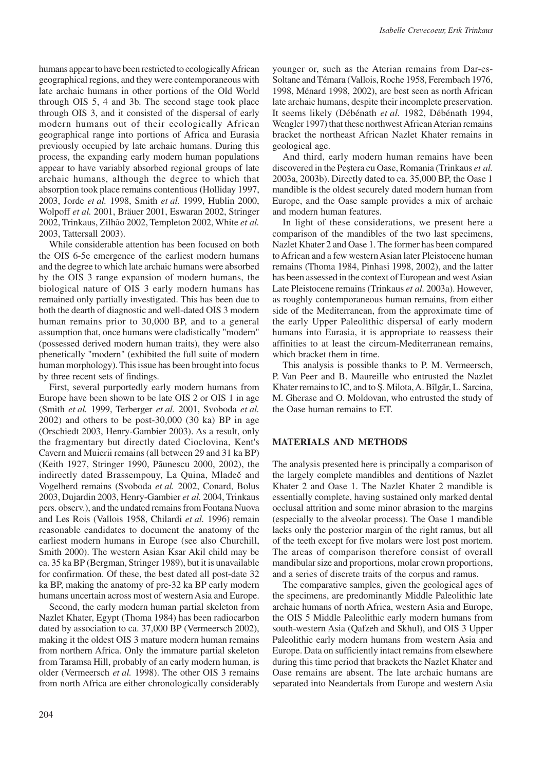humans appear to have been restricted to ecologically African geographical regions, and they were contemporaneous with late archaic humans in other portions of the Old World through OIS 5, 4 and 3b. The second stage took place through OIS 3, and it consisted of the dispersal of early modern humans out of their ecologically African geographical range into portions of Africa and Eurasia previously occupied by late archaic humans. During this process, the expanding early modern human populations appear to have variably absorbed regional groups of late archaic humans, although the degree to which that absorption took place remains contentious (Holliday 1997, 2003, Jorde *et al.* 1998, Smith *et al.* 1999, Hublin 2000, Wolpoff *et al.* 2001, Bräuer 2001, Eswaran 2002, Stringer 2002, Trinkaus, Zilhão 2002, Templeton 2002, White *et al.* 2003, Tattersall 2003).

While considerable attention has been focused on both the OIS 6-5e emergence of the earliest modern humans and the degree to which late archaic humans were absorbed by the OIS 3 range expansion of modern humans, the biological nature of OIS 3 early modern humans has remained only partially investigated. This has been due to both the dearth of diagnostic and well-dated OIS 3 modern human remains prior to 30,000 BP, and to a general assumption that, once humans were cladistically "modern" (possessed derived modern human traits), they were also phenetically "modern" (exhibited the full suite of modern human morphology). This issue has been brought into focus by three recent sets of findings.

First, several purportedly early modern humans from Europe have been shown to be late OIS 2 or OIS 1 in age (Smith *et al.* 1999, Terberger *et al.* 2001, Svoboda *et al.* 2002) and others to be post-30,000 (30 ka) BP in age (Orschiedt 2003, Henry-Gambier 2003). As a result, only the fragmentary but directly dated Cioclovina, Kent's Cavern and Muierii remains (all between 29 and 31 ka BP) (Keith 1927, Stringer 1990, Pãunescu 2000, 2002), the indirectly dated Brassempouy, La Quina, Mladeč and Vogelherd remains (Svoboda *et al.* 2002, Conard, Bolus 2003, Dujardin 2003, Henry-Gambier *et al.* 2004, Trinkaus pers. observ.), and the undated remains from Fontana Nuova and Les Rois (Vallois 1958, Chilardi *et al.* 1996) remain reasonable candidates to document the anatomy of the earliest modern humans in Europe (see also Churchill, Smith 2000). The western Asian Ksar Akil child may be ca. 35 ka BP (Bergman, Stringer 1989), but it is unavailable for confirmation. Of these, the best dated all post-date 32 ka BP, making the anatomy of pre-32 ka BP early modern humans uncertain across most of western Asia and Europe.

Second, the early modern human partial skeleton from Nazlet Khater, Egypt (Thoma 1984) has been radiocarbon dated by association to ca. 37,000 BP (Vermeersch 2002), making it the oldest OIS 3 mature modern human remains from northern Africa. Only the immature partial skeleton from Taramsa Hill, probably of an early modern human, is older (Vermeersch *et al.* 1998). The other OIS 3 remains from north Africa are either chronologically considerably

204

younger or, such as the Aterian remains from Dar-es-Soltane and Témara (Vallois, Roche 1958, Ferembach 1976, 1998, Ménard 1998, 2002), are best seen as north African late archaic humans, despite their incomplete preservation. It seems likely (Débénath *et al.* 1982, Débénath 1994, Wengler 1997) that these northwest African Aterian remains bracket the northeast African Nazlet Khater remains in geological age.

And third, early modern human remains have been discovered in the Peștera cu Oase, Romania (Trinkaus *et al.* 2003a, 2003b). Directly dated to ca. 35,000 BP, the Oase 1 mandible is the oldest securely dated modern human from Europe, and the Oase sample provides a mix of archaic and modern human features.

In light of these considerations, we present here a comparison of the mandibles of the two last specimens, Nazlet Khater 2 and Oase 1. The former has been compared to African and a few western Asian later Pleistocene human remains (Thoma 1984, Pinhasi 1998, 2002), and the latter has been assessed in the context of European and west Asian Late Pleistocene remains (Trinkaus *et al.* 2003a). However, as roughly contemporaneous human remains, from either side of the Mediterranean, from the approximate time of the early Upper Paleolithic dispersal of early modern humans into Eurasia, it is appropriate to reassess their affinities to at least the circum-Mediterranean remains, which bracket them in time.

This analysis is possible thanks to P. M. Vermeersch, P. Van Peer and B. Maureille who entrusted the Nazlet Khater remains to IC, and to Ș. Milota, A. Bîlgăr, L. Sarcina, M. Gherase and O. Moldovan, who entrusted the study of the Oase human remains to ET.

## **MATERIALS AND METHODS**

The analysis presented here is principally a comparison of the largely complete mandibles and dentitions of Nazlet Khater 2 and Oase 1. The Nazlet Khater 2 mandible is essentially complete, having sustained only marked dental occlusal attrition and some minor abrasion to the margins (especially to the alveolar process). The Oase 1 mandible lacks only the posterior margin of the right ramus, but all of the teeth except for five molars were lost post mortem. The areas of comparison therefore consist of overall mandibular size and proportions, molar crown proportions, and a series of discrete traits of the corpus and ramus.

The comparative samples, given the geological ages of the specimens, are predominantly Middle Paleolithic late archaic humans of north Africa, western Asia and Europe, the OIS 5 Middle Paleolithic early modern humans from south-western Asia (Qafzeh and Skhul), and OIS 3 Upper Paleolithic early modern humans from western Asia and Europe. Data on sufficiently intact remains from elsewhere during this time period that brackets the Nazlet Khater and Oase remains are absent. The late archaic humans are separated into Neandertals from Europe and western Asia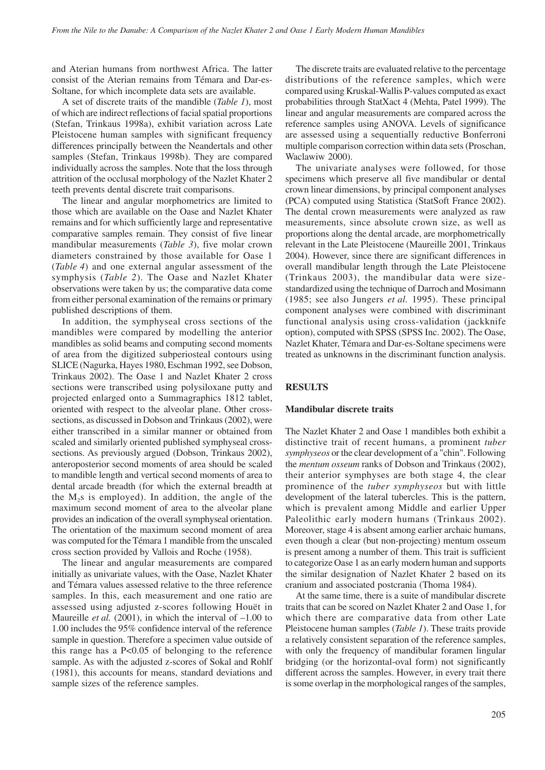and Aterian humans from northwest Africa. The latter consist of the Aterian remains from Témara and Dar-es-Soltane, for which incomplete data sets are available.

A set of discrete traits of the mandible (*Table 1*), most of which are indirect reflections of facial spatial proportions (Stefan, Trinkaus 1998a), exhibit variation across Late Pleistocene human samples with significant frequency differences principally between the Neandertals and other samples (Stefan, Trinkaus 1998b). They are compared individually across the samples. Note that the loss through attrition of the occlusal morphology of the Nazlet Khater 2 teeth prevents dental discrete trait comparisons.

The linear and angular morphometrics are limited to those which are available on the Oase and Nazlet Khater remains and for which sufficiently large and representative comparative samples remain. They consist of five linear mandibular measurements (*Table 3*), five molar crown diameters constrained by those available for Oase 1 (*Table 4*) and one external angular assessment of the symphysis (*Table 2*). The Oase and Nazlet Khater observations were taken by us; the comparative data come from either personal examination of the remains or primary published descriptions of them.

In addition, the symphyseal cross sections of the mandibles were compared by modelling the anterior mandibles as solid beams and computing second moments of area from the digitized subperiosteal contours using SLICE (Nagurka, Hayes 1980, Eschman 1992, see Dobson, Trinkaus 2002). The Oase 1 and Nazlet Khater 2 cross sections were transcribed using polysiloxane putty and projected enlarged onto a Summagraphics 1812 tablet, oriented with respect to the alveolar plane. Other crosssections, as discussed in Dobson and Trinkaus (2002), were either transcribed in a similar manner or obtained from scaled and similarly oriented published symphyseal crosssections. As previously argued (Dobson, Trinkaus 2002), anteroposterior second moments of area should be scaled to mandible length and vertical second moments of area to dental arcade breadth (for which the external breadth at the M2s is employed). In addition, the angle of the maximum second moment of area to the alveolar plane provides an indication of the overall symphyseal orientation. The orientation of the maximum second moment of area was computed for the Témara 1 mandible from the unscaled cross section provided by Vallois and Roche (1958).

The linear and angular measurements are compared initially as univariate values, with the Oase, Nazlet Khater and Témara values assessed relative to the three reference samples. In this, each measurement and one ratio are assessed using adjusted z-scores following Houët in Maureille *et al.* (2001), in which the interval of  $-1.00$  to 1.00 includes the 95% confidence interval of the reference sample in question. Therefore a specimen value outside of this range has a P<0.05 of belonging to the reference sample. As with the adjusted z-scores of Sokal and Rohlf (1981), this accounts for means, standard deviations and sample sizes of the reference samples.

The discrete traits are evaluated relative to the percentage distributions of the reference samples, which were compared using Kruskal-Wallis P-values computed as exact probabilities through StatXact 4 (Mehta, Patel 1999). The linear and angular measurements are compared across the reference samples using ANOVA. Levels of significance are assessed using a sequentially reductive Bonferroni multiple comparison correction within data sets (Proschan, Waclawiw 2000).

The univariate analyses were followed, for those specimens which preserve all five mandibular or dental crown linear dimensions, by principal component analyses (PCA) computed using Statistica (StatSoft France 2002). The dental crown measurements were analyzed as raw measurements, since absolute crown size, as well as proportions along the dental arcade, are morphometrically relevant in the Late Pleistocene (Maureille 2001, Trinkaus 2004). However, since there are significant differences in overall mandibular length through the Late Pleistocene (Trinkaus 2003), the mandibular data were sizestandardized using the technique of Darroch and Mosimann (1985; see also Jungers *et al.* 1995). These principal component analyses were combined with discriminant functional analysis using cross-validation (jackknife option), computed with SPSS (SPSS Inc. 2002). The Oase, Nazlet Khater, Témara and Dar-es-Soltane specimens were treated as unknowns in the discriminant function analysis.

## **RESULTS**

## **Mandibular discrete traits**

The Nazlet Khater 2 and Oase 1 mandibles both exhibit a distinctive trait of recent humans, a prominent *tuber symphyseos* or the clear development of a "chin". Following the *mentum osseum* ranks of Dobson and Trinkaus (2002), their anterior symphyses are both stage 4, the clear prominence of the *tuber symphyseos* but with little development of the lateral tubercles. This is the pattern, which is prevalent among Middle and earlier Upper Paleolithic early modern humans (Trinkaus 2002). Moreover, stage 4 is absent among earlier archaic humans, even though a clear (but non-projecting) mentum osseum is present among a number of them. This trait is sufficient to categorize Oase 1 as an early modern human and supports the similar designation of Nazlet Khater 2 based on its cranium and associated postcrania (Thoma 1984).

At the same time, there is a suite of mandibular discrete traits that can be scored on Nazlet Khater 2 and Oase 1, for which there are comparative data from other Late Pleistocene human samples (*Table 1*). These traits provide a relatively consistent separation of the reference samples, with only the frequency of mandibular foramen lingular bridging (or the horizontal-oval form) not significantly different across the samples. However, in every trait there is some overlap in the morphological ranges of the samples,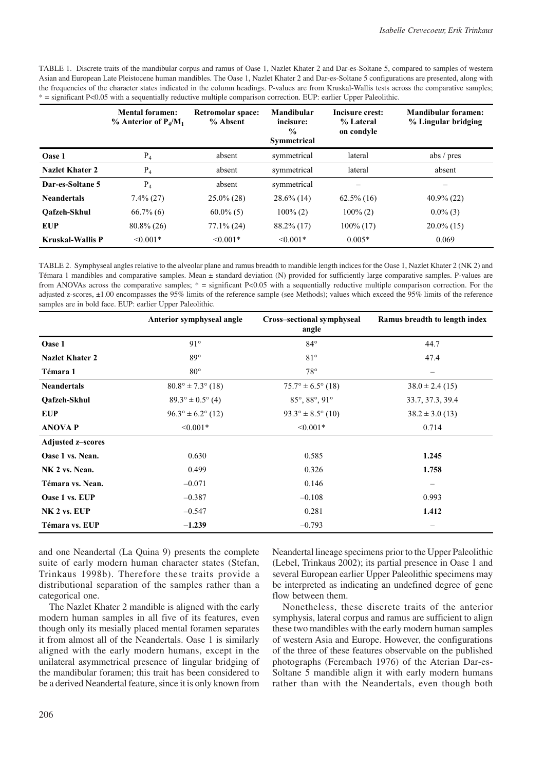TABLE 1. Discrete traits of the mandibular corpus and ramus of Oase 1, Nazlet Khater 2 and Dar-es-Soltane 5, compared to samples of western Asian and European Late Pleistocene human mandibles. The Oase 1, Nazlet Khater 2 and Dar-es-Soltane 5 configurations are presented, along with the frequencies of the character states indicated in the column headings. P-values are from Kruskal-Wallis tests across the comparative samples; \* = significant P<0.05 with a sequentially reductive multiple comparison correction. EUP: earlier Upper Paleolithic.

|                         | <b>Mental foramen:</b><br>$\%$ Anterior of P <sub>4</sub> /M <sub>1</sub> | Retromolar space:<br>% Absent | Mandibular<br>incisure:<br>$\frac{0}{0}$<br><b>Symmetrical</b> | Incisure crest:<br>% Lateral<br>on condyle | <b>Mandibular foramen:</b><br>% Lingular bridging |
|-------------------------|---------------------------------------------------------------------------|-------------------------------|----------------------------------------------------------------|--------------------------------------------|---------------------------------------------------|
| Oase 1                  | $P_4$                                                                     | absent                        | symmetrical                                                    | lateral                                    | abs $/$ pres                                      |
| Nazlet Khater 2         | $P_4$                                                                     | absent                        | symmetrical                                                    | lateral                                    | absent                                            |
| Dar-es-Soltane 5        | $P_4$                                                                     | absent                        | symmetrical                                                    |                                            |                                                   |
| <b>Neandertals</b>      | $7.4\%$ (27)                                                              | $25.0\%$ (28)                 | $28.6\%$ (14)                                                  | $62.5\%$ (16)                              | $40.9\%$ (22)                                     |
| Oafzeh-Skhul            | $66.7\%$ (6)                                                              | $60.0\%$ (5)                  | $100\%$ (2)                                                    | $100\%$ (2)                                | $0.0\%$ (3)                                       |
| EUP                     | $80.8\%$ (26)                                                             | $77.1\%$ (24)                 | 88.2% (17)                                                     | $100\%$ (17)                               | $20.0\%$ (15)                                     |
| <b>Kruskal-Wallis P</b> | $< 0.001*$                                                                | $\leq 0.001*$                 | $\leq 0.001*$                                                  | $0.005*$                                   | 0.069                                             |

TABLE 2. Symphyseal angles relative to the alveolar plane and ramus breadth to mandible length indices for the Oase 1, Nazlet Khater 2 (NK 2) and Témara 1 mandibles and comparative samples. Mean ± standard deviation (N) provided for sufficiently large comparative samples. P-values are from ANOVAs across the comparative samples;  $* =$  significant P<0.05 with a sequentially reductive multiple comparison correction. For the adjusted z-scores, ±1.00 encompasses the 95% limits of the reference sample (see Methods); values which exceed the 95% limits of the reference samples are in bold face. EUP: earlier Upper Paleolithic.

|                          | Anterior symphyseal angle           | Cross-sectional symphyseal<br>angle  | Ramus breadth to length index |
|--------------------------|-------------------------------------|--------------------------------------|-------------------------------|
| Oase 1                   | $91^\circ$                          | $84^\circ$                           | 44.7                          |
| <b>Nazlet Khater 2</b>   | $89^\circ$                          | $81^\circ$                           | 47.4                          |
| Témara 1                 | $80^{\circ}$                        | $78^{\circ}$                         |                               |
| <b>Neandertals</b>       | $80.8^{\circ} \pm 7.3^{\circ}$ (18) | $75.7^{\circ} \pm 6.5^{\circ}$ (18)  | $38.0 \pm 2.4(15)$            |
| Oafzeh-Skhul             | $89.3^{\circ} \pm 0.5^{\circ}$ (4)  | $85^{\circ}, 88^{\circ}, 91^{\circ}$ | 33.7, 37.3, 39.4              |
| <b>EUP</b>               | $96.3^{\circ} \pm 6.2^{\circ}$ (12) | $93.3^{\circ} \pm 8.5^{\circ}$ (10)  | $38.2 \pm 3.0$ (13)           |
| <b>ANOVA P</b>           | $< 0.001*$                          | $< 0.001*$                           | 0.714                         |
| <b>Adjusted z-scores</b> |                                     |                                      |                               |
| Oase 1 vs. Nean.         | 0.630                               | 0.585                                | 1.245                         |
| NK 2 vs. Nean.           | 0.499                               | 0.326                                | 1.758                         |
| Témara vs. Nean.         | $-0.071$                            | 0.146                                | $\qquad \qquad -$             |
| Oase 1 vs. EUP           | $-0.387$                            | $-0.108$                             | 0.993                         |
| NK 2 vs. EUP             | $-0.547$                            | 0.281                                | 1.412                         |
| Témara vs. EUP           | $-1.239$                            | $-0.793$                             | $\qquad \qquad$               |

and one Neandertal (La Quina 9) presents the complete suite of early modern human character states (Stefan, Trinkaus 1998b). Therefore these traits provide a distributional separation of the samples rather than a categorical one.

The Nazlet Khater 2 mandible is aligned with the early modern human samples in all five of its features, even though only its mesially placed mental foramen separates it from almost all of the Neandertals. Oase 1 is similarly aligned with the early modern humans, except in the unilateral asymmetrical presence of lingular bridging of the mandibular foramen; this trait has been considered to be a derived Neandertal feature, since it is only known from Neandertal lineage specimens prior to the Upper Paleolithic (Lebel, Trinkaus 2002); its partial presence in Oase 1 and several European earlier Upper Paleolithic specimens may be interpreted as indicating an undefined degree of gene flow between them.

Nonetheless, these discrete traits of the anterior symphysis, lateral corpus and ramus are sufficient to align these two mandibles with the early modern human samples of western Asia and Europe. However, the configurations of the three of these features observable on the published photographs (Ferembach 1976) of the Aterian Dar-es-Soltane 5 mandible align it with early modern humans rather than with the Neandertals, even though both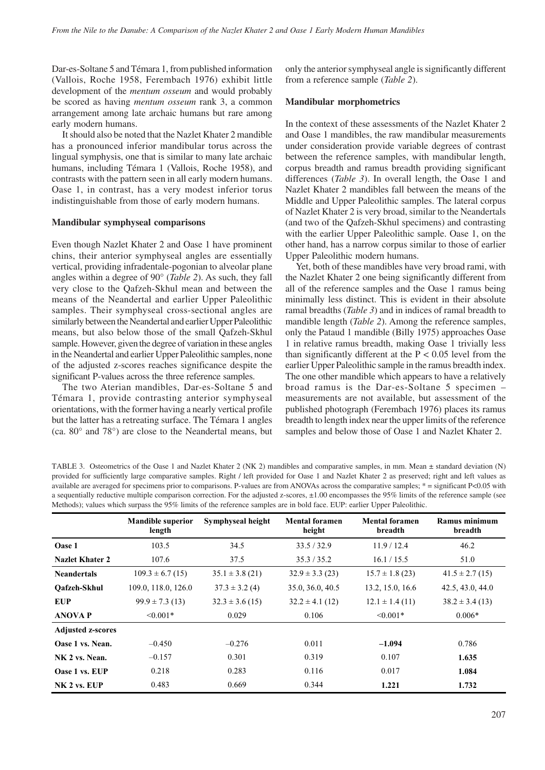Dar-es-Soltane 5 and Témara 1, from published information (Vallois, Roche 1958, Ferembach 1976) exhibit little development of the *mentum osseum* and would probably be scored as having *mentum osseum* rank 3, a common arrangement among late archaic humans but rare among early modern humans.

It should also be noted that the Nazlet Khater 2 mandible has a pronounced inferior mandibular torus across the lingual symphysis, one that is similar to many late archaic humans, including Témara 1 (Vallois, Roche 1958), and contrasts with the pattern seen in all early modern humans. Oase 1, in contrast, has a very modest inferior torus indistinguishable from those of early modern humans.

## **Mandibular symphyseal comparisons**

Even though Nazlet Khater 2 and Oase 1 have prominent chins, their anterior symphyseal angles are essentially vertical, providing infradentale-pogonian to alveolar plane angles within a degree of 90° (*Table 2*). As such, they fall very close to the Qafzeh-Skhul mean and between the means of the Neandertal and earlier Upper Paleolithic samples. Their symphyseal cross-sectional angles are similarly between the Neandertal and earlier Upper Paleolithic means, but also below those of the small Qafzeh-Skhul sample. However, given the degree of variation in these angles in the Neandertal and earlier Upper Paleolithic samples, none of the adjusted z-scores reaches significance despite the significant P-values across the three reference samples.

The two Aterian mandibles, Dar-es-Soltane 5 and Témara 1, provide contrasting anterior symphyseal orientations, with the former having a nearly vertical profile but the latter has a retreating surface. The Témara 1 angles (ca. 80° and 78°) are close to the Neandertal means, but only the anterior symphyseal angle is significantly different from a reference sample (*Table 2*).

#### **Mandibular morphometrics**

In the context of these assessments of the Nazlet Khater 2 and Oase 1 mandibles, the raw mandibular measurements under consideration provide variable degrees of contrast between the reference samples, with mandibular length, corpus breadth and ramus breadth providing significant differences (*Table 3*). In overall length, the Oase 1 and Nazlet Khater 2 mandibles fall between the means of the Middle and Upper Paleolithic samples. The lateral corpus of Nazlet Khater 2 is very broad, similar to the Neandertals (and two of the Qafzeh-Skhul specimens) and contrasting with the earlier Upper Paleolithic sample. Oase 1, on the other hand, has a narrow corpus similar to those of earlier Upper Paleolithic modern humans.

Yet, both of these mandibles have very broad rami, with the Nazlet Khater 2 one being significantly different from all of the reference samples and the Oase 1 ramus being minimally less distinct. This is evident in their absolute ramal breadths (*Table 3*) and in indices of ramal breadth to mandible length (*Table 2*). Among the reference samples, only the Pataud 1 mandible (Billy 1975) approaches Oase 1 in relative ramus breadth, making Oase 1 trivially less than significantly different at the  $P < 0.05$  level from the earlier Upper Paleolithic sample in the ramus breadth index. The one other mandible which appears to have a relatively broad ramus is the Dar-es-Soltane 5 specimen – measurements are not available, but assessment of the published photograph (Ferembach 1976) places its ramus breadth to length index near the upper limits of the reference samples and below those of Oase 1 and Nazlet Khater 2.

| TABLE 3. Osteometrics of the Oase 1 and Nazlet Khater 2 (NK 2) mandibles and comparative samples, in mm. Mean $\pm$ standard deviation (N)             |
|--------------------------------------------------------------------------------------------------------------------------------------------------------|
| provided for sufficiently large comparative samples. Right / left provided for Oase 1 and Nazlet Khater 2 as preserved; right and left values as       |
| available are averaged for specimens prior to comparisons. P-values are from ANOVAs across the comparative samples; $* =$ significant P<0.05 with      |
| a sequentially reductive multiple comparison correction. For the adjusted z-scores, $\pm 1.00$ encompasses the 95% limits of the reference sample (see |
| Methods); values which surpass the 95% limits of the reference samples are in bold face. EUP: earlier Upper Paleolithic.                               |

|                          | <b>Mandible superior</b><br>length | Symphyseal height   | <b>Mental foramen</b><br>height | <b>Mental foramen</b><br>breadth | Ramus minimum<br>breadth |
|--------------------------|------------------------------------|---------------------|---------------------------------|----------------------------------|--------------------------|
| Oase 1                   | 103.5                              | 34.5                | 33.5 / 32.9                     | 11.9/12.4                        | 46.2                     |
| Nazlet Khater 2          | 107.6                              | 37.5                | 35.3 / 35.2                     | 16.1 / 15.5                      | 51.0                     |
| <b>Neandertals</b>       | $109.3 \pm 6.7$ (15)               | $35.1 \pm 3.8$ (21) | $32.9 \pm 3.3$ (23)             | $15.7 \pm 1.8$ (23)              | $41.5 \pm 2.7(15)$       |
| Oafzeh-Skhul             | 109.0, 118.0, 126.0                | $37.3 \pm 3.2(4)$   | 35.0, 36.0, 40.5                | 13.2, 15.0, 16.6                 | 42.5, 43.0, 44.0         |
| <b>EUP</b>               | $99.9 \pm 7.3(13)$                 | $32.3 \pm 3.6$ (15) | $32.2 \pm 4.1(12)$              | $12.1 \pm 1.4(11)$               | $38.2 \pm 3.4(13)$       |
| <b>ANOVAP</b>            | $< 0.001*$                         | 0.029               | 0.106                           | $< 0.001*$                       | $0.006*$                 |
| <b>Adjusted z-scores</b> |                                    |                     |                                 |                                  |                          |
| Oase 1 vs. Nean.         | $-0.450$                           | $-0.276$            | 0.011                           | $-1.094$                         | 0.786                    |
| NK 2 vs. Nean.           | $-0.157$                           | 0.301               | 0.319                           | 0.107                            | 1.635                    |
| Oase 1 vs. EUP           | 0.218                              | 0.283               | 0.116                           | 0.017                            | 1.084                    |
| NK 2 vs. EUP             | 0.483                              | 0.669               | 0.344                           | 1.221                            | 1.732                    |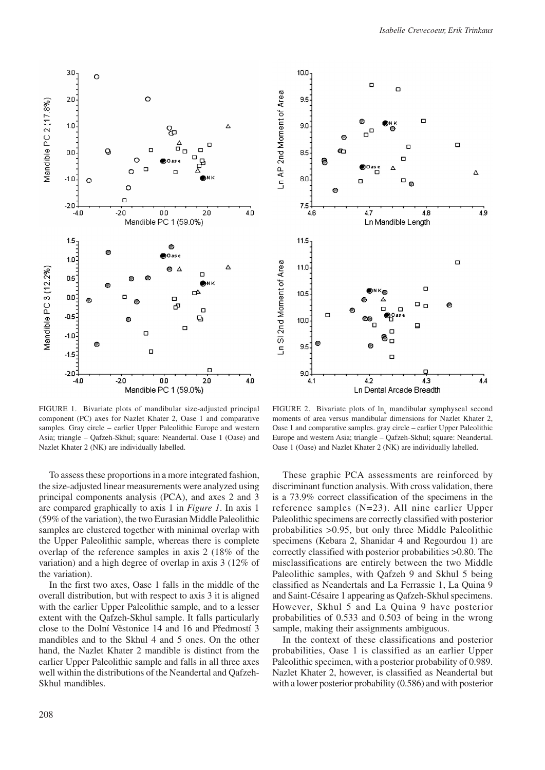

FIGURE 1. Bivariate plots of mandibular size-adjusted principal component (PC) axes for Nazlet Khater 2, Oase 1 and comparative samples. Gray circle – earlier Upper Paleolithic Europe and western Asia; triangle – Qafzeh-Skhul; square: Neandertal. Oase 1 (Oase) and Nazlet Khater 2 (NK) are individually labelled.

To assess these proportions in a more integrated fashion, the size-adjusted linear measurements were analyzed using principal components analysis (PCA), and axes 2 and 3 are compared graphically to axis 1 in *Figure 1*. In axis 1 (59% of the variation), the two Eurasian Middle Paleolithic samples are clustered together with minimal overlap with the Upper Paleolithic sample, whereas there is complete overlap of the reference samples in axis 2 (18% of the variation) and a high degree of overlap in axis 3 (12% of the variation).

In the first two axes, Oase 1 falls in the middle of the overall distribution, but with respect to axis 3 it is aligned with the earlier Upper Paleolithic sample, and to a lesser extent with the Qafzeh-Skhul sample. It falls particularly close to the Dolní Věstonice 14 and 16 and Předmostí 3 mandibles and to the Skhul 4 and 5 ones. On the other hand, the Nazlet Khater 2 mandible is distinct from the earlier Upper Paleolithic sample and falls in all three axes well within the distributions of the Neandertal and Qafzeh-Skhul mandibles.



FIGURE 2. Bivariate plots of  $\ln_{e}$  mandibular symphyseal second moments of area versus mandibular dimensions for Nazlet Khater 2, Oase 1 and comparative samples. gray circle – earlier Upper Paleolithic Europe and western Asia; triangle – Qafzeh-Skhul; square: Neandertal. Oase 1 (Oase) and Nazlet Khater 2 (NK) are individually labelled.

These graphic PCA assessments are reinforced by discriminant function analysis. With cross validation, there is a 73.9% correct classification of the specimens in the reference samples (N=23). All nine earlier Upper Paleolithic specimens are correctly classified with posterior probabilities >0.95, but only three Middle Paleolithic specimens (Kebara 2, Shanidar 4 and Regourdou 1) are correctly classified with posterior probabilities >0.80. The misclassifications are entirely between the two Middle Paleolithic samples, with Qafzeh 9 and Skhul 5 being classified as Neandertals and La Ferrassie 1, La Quina 9 and Saint-Césaire 1 appearing as Qafzeh-Skhul specimens. However, Skhul 5 and La Quina 9 have posterior probabilities of 0.533 and 0.503 of being in the wrong sample, making their assignments ambiguous.

In the context of these classifications and posterior probabilities, Oase 1 is classified as an earlier Upper Paleolithic specimen, with a posterior probability of 0.989. Nazlet Khater 2, however, is classified as Neandertal but with a lower posterior probability (0.586) and with posterior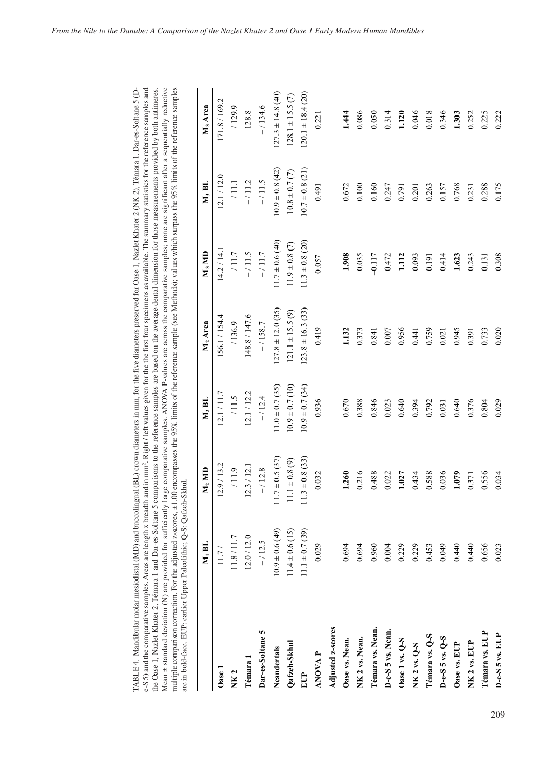| Mean $\pm$ standard deviation (N) are provided for sufficiently large comparative samples. ANOVA P-values are across the comparative samples; none are significant after a sequentially reductive<br>multiple comparison correction. For the adjusted z-scores, ±1.00 encompasses the 95% limits of the reference sample (see Methods); values which surpass the 95% limits of the reference samples<br>the Oase 1, Nazlet Khater 2, Témara 1 and Dar-es-Soltane 5 comparisons to the reference samples are based on the average dental dimension for those measurements provided by both antimeres.<br>are in bold-face. EUP: earlier Upper Paleolithic; Q-S: Qafzeh-Skhul. | $M_1$ BL             | $M_2$ MD              | $\mathbf{M}_2$ Bl   | $M_2$ Area            | $\mathbf{M}_3 \mathbf{M} \mathbf{D}$ | $M_3$ BL            | M <sub>3</sub> Area   |
|------------------------------------------------------------------------------------------------------------------------------------------------------------------------------------------------------------------------------------------------------------------------------------------------------------------------------------------------------------------------------------------------------------------------------------------------------------------------------------------------------------------------------------------------------------------------------------------------------------------------------------------------------------------------------|----------------------|-----------------------|---------------------|-----------------------|--------------------------------------|---------------------|-----------------------|
| Oase 1                                                                                                                                                                                                                                                                                                                                                                                                                                                                                                                                                                                                                                                                       | $11.7/-$             | 12.9 / 13.2           | 12.1 / 11.7         | 156.1/154.4           | 14.2 / 14.1                          | 12.1 / 12.0         | 171.8 / 169.2         |
| <b>NK2</b>                                                                                                                                                                                                                                                                                                                                                                                                                                                                                                                                                                                                                                                                   | 11.8/11.7            | $-11.9$               | $-111.5$            | $-/136.9$             | $-11.7$                              | $-/11.1$            | $-/129.9$             |
| Témara 1                                                                                                                                                                                                                                                                                                                                                                                                                                                                                                                                                                                                                                                                     | 12.0 / 12.0          | 12.3 / 12.1           | 12.1 / 12.2         | 148.8/147.6           | $-11.5$                              | $-/11.2$            | 128.8                 |
| Dar-es-Soltane 5                                                                                                                                                                                                                                                                                                                                                                                                                                                                                                                                                                                                                                                             | $-/12.5$             | $-/12.8$              | $-/12.4$            | $-1158.7$             | $-11.7$                              | $-111.5$            | $-/134.6$             |
| Neandertals                                                                                                                                                                                                                                                                                                                                                                                                                                                                                                                                                                                                                                                                  | $(64)$ 9.0 $\pm$ 0.6 | $+0.5(37)$            | $11.0 \pm 0.7$ (35) | $127.8 \pm 12.0$ (35) | $11.7 \pm 0.6$ (40)                  | $10.9 \pm 0.8$ (42) | $127.3 \pm 14.8$ (40) |
| Qafzeh-Skhul                                                                                                                                                                                                                                                                                                                                                                                                                                                                                                                                                                                                                                                                 | $11.4 \pm 0.6$ (15)  | $11.1 \pm 0.8$ (9)    | $10.9 \pm 0.7$ (10) | $121.1 \pm 15.5(9)$   | $11.9 \pm 0.8$ (7)                   | $10.8 \pm 0.7(7)$   | $128.1 \pm 15.5(7)$   |
| EUP                                                                                                                                                                                                                                                                                                                                                                                                                                                                                                                                                                                                                                                                          | $11.1 \pm 0.7$ (39)  | $\pm 0.8(33)$<br>11.3 | $10.9 \pm 0.7$ (34) | $123.8 \pm 16.3$ (33) | $11.3 \pm 0.8$ (20)                  | $10.7 \pm 0.8$ (21) | $120.1 \pm 18.4$ (20) |
| <b>ANOVAP</b>                                                                                                                                                                                                                                                                                                                                                                                                                                                                                                                                                                                                                                                                | 0.029                | 0.032                 | 0.936               | 0.419                 | 0.057                                | 0.491               | 0.221                 |
| Adjusted z-scores                                                                                                                                                                                                                                                                                                                                                                                                                                                                                                                                                                                                                                                            |                      |                       |                     |                       |                                      |                     |                       |
| Oase vs. Nean.                                                                                                                                                                                                                                                                                                                                                                                                                                                                                                                                                                                                                                                               | 0.694                | 1.260                 | 0.670               | 1.132                 | 1.908                                | 0.672               | 1.444                 |
| NK 2 vs. Nean.                                                                                                                                                                                                                                                                                                                                                                                                                                                                                                                                                                                                                                                               | 0.694                | 0.216                 | 0.388               | 0.373                 | 0.035                                | 0.100               | 0.086                 |
| Témara vs. Nean.                                                                                                                                                                                                                                                                                                                                                                                                                                                                                                                                                                                                                                                             | 0.960                | 0.488                 | 0.846               | 0.841                 | $-0.117$                             | 0.160               | 0.050                 |
| D-e-S 5 vs. Nean.                                                                                                                                                                                                                                                                                                                                                                                                                                                                                                                                                                                                                                                            | 0.004                | 0.022                 | 0.023               | $0.007$               | 0.472                                | 0.247               | 0.314                 |
| Oase 1 vs. Q-S                                                                                                                                                                                                                                                                                                                                                                                                                                                                                                                                                                                                                                                               | 0.229                | 1.027                 | 0.640               | 0.956                 | 1.112                                | 0.791               | 1.120                 |
| NK 2 vs. Q-S                                                                                                                                                                                                                                                                                                                                                                                                                                                                                                                                                                                                                                                                 | 0.229                | 0.434                 | 0.394               | 0.441                 | $-0.093$                             | 0.201               | 0.046                 |
| Témara vs. Q-S                                                                                                                                                                                                                                                                                                                                                                                                                                                                                                                                                                                                                                                               | 0.453                | 0.588                 | 0.792               | 0.759                 | $-0.191$                             | 0.263               | 0.018                 |
| $D-e-S5 vs. Q-S$                                                                                                                                                                                                                                                                                                                                                                                                                                                                                                                                                                                                                                                             | 0.049                | 0.036                 | 0.031               | 0.021                 | 0.414                                | 0.157               | 0.346                 |
| Oase vs. EUP                                                                                                                                                                                                                                                                                                                                                                                                                                                                                                                                                                                                                                                                 | 0.440                | 1.079                 | 0.640               | 0.945                 | 1.623                                | 0.768               | 1.303                 |
| NK 2 vs. EUP                                                                                                                                                                                                                                                                                                                                                                                                                                                                                                                                                                                                                                                                 | 0.440                | 0.371                 | 0.376               | 0.391                 | 0.243                                | 0.231               | 0.252                 |
| Témara vs. EUP                                                                                                                                                                                                                                                                                                                                                                                                                                                                                                                                                                                                                                                               | 0.656                | 0.556                 | 0.804               | 0.733                 | 0.131                                | 0.288               | 0.225                 |
| $D-e-S$ 5 vs. $EUP$                                                                                                                                                                                                                                                                                                                                                                                                                                                                                                                                                                                                                                                          | 0.023                | 0.034                 | 0.029               | 0.020                 | 0.308                                | 0.175               | 0.222                 |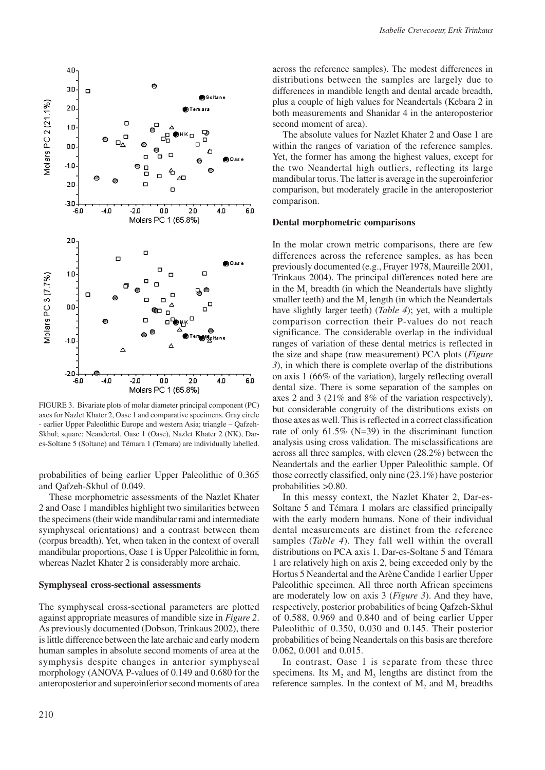

FIGURE 3. Bivariate plots of molar diameter principal component (PC) axes for Nazlet Khater 2, Oase 1 and comparative specimens. Gray circle - earlier Upper Paleolithic Europe and western Asia; triangle – Qafzeh-Skhul; square: Neandertal. Oase 1 (Oase), Nazlet Khater 2 (NK), Dares-Soltane 5 (Soltane) and Témara 1 (Temara) are individually labelled.

probabilities of being earlier Upper Paleolithic of 0.365 and Qafzeh-Skhul of 0.049.

These morphometric assessments of the Nazlet Khater 2 and Oase 1 mandibles highlight two similarities between the specimens (their wide mandibular rami and intermediate symphyseal orientations) and a contrast between them (corpus breadth). Yet, when taken in the context of overall mandibular proportions, Oase 1 is Upper Paleolithic in form, whereas Nazlet Khater 2 is considerably more archaic.

## **Symphyseal cross-sectional assessments**

The symphyseal cross-sectional parameters are plotted against appropriate measures of mandible size in *Figure 2*. As previously documented (Dobson, Trinkaus 2002), there is little difference between the late archaic and early modern human samples in absolute second moments of area at the symphysis despite changes in anterior symphyseal morphology (ANOVA P-values of 0.149 and 0.680 for the anteroposterior and superoinferior second moments of area across the reference samples). The modest differences in distributions between the samples are largely due to differences in mandible length and dental arcade breadth, plus a couple of high values for Neandertals (Kebara 2 in both measurements and Shanidar 4 in the anteroposterior second moment of area).

The absolute values for Nazlet Khater 2 and Oase 1 are within the ranges of variation of the reference samples. Yet, the former has among the highest values, except for the two Neandertal high outliers, reflecting its large mandibular torus. The latter is average in the superoinferior comparison, but moderately gracile in the anteroposterior comparison.

## **Dental morphometric comparisons**

In the molar crown metric comparisons, there are few differences across the reference samples, as has been previously documented (e.g., Frayer 1978, Maureille 2001, Trinkaus 2004). The principal differences noted here are in the  $M<sub>1</sub>$  breadth (in which the Neandertals have slightly smaller teeth) and the  $M_2$  length (in which the Neandertals have slightly larger teeth) (*Table 4*); yet, with a multiple comparison correction their P-values do not reach significance. The considerable overlap in the individual ranges of variation of these dental metrics is reflected in the size and shape (raw measurement) PCA plots (*Figure 3*), in which there is complete overlap of the distributions on axis 1 (66% of the variation), largely reflecting overall dental size. There is some separation of the samples on axes 2 and 3 (21% and 8% of the variation respectively), but considerable congruity of the distributions exists on those axes as well. This is reflected in a correct classification rate of only 61.5% (N=39) in the discriminant function analysis using cross validation. The misclassifications are across all three samples, with eleven (28.2%) between the Neandertals and the earlier Upper Paleolithic sample. Of those correctly classified, only nine (23.1%) have posterior probabilities >0.80.

In this messy context, the Nazlet Khater 2, Dar-es-Soltane 5 and Témara 1 molars are classified principally with the early modern humans. None of their individual dental measurements are distinct from the reference samples (*Table 4*). They fall well within the overall distributions on PCA axis 1. Dar-es-Soltane 5 and Témara 1 are relatively high on axis 2, being exceeded only by the Hortus 5 Neandertal and the Arène Candide 1 earlier Upper Paleolithic specimen. All three north African specimens are moderately low on axis 3 (*Figure 3*). And they have, respectively, posterior probabilities of being Qafzeh-Skhul of 0.588, 0.969 and 0.840 and of being earlier Upper Paleolithic of 0.350, 0.030 and 0.145. Their posterior probabilities of being Neandertals on this basis are therefore 0.062, 0.001 and 0.015.

In contrast, Oase 1 is separate from these three specimens. Its  $M_2$  and  $M_3$  lengths are distinct from the reference samples. In the context of  $M_2$  and  $M_3$  breadths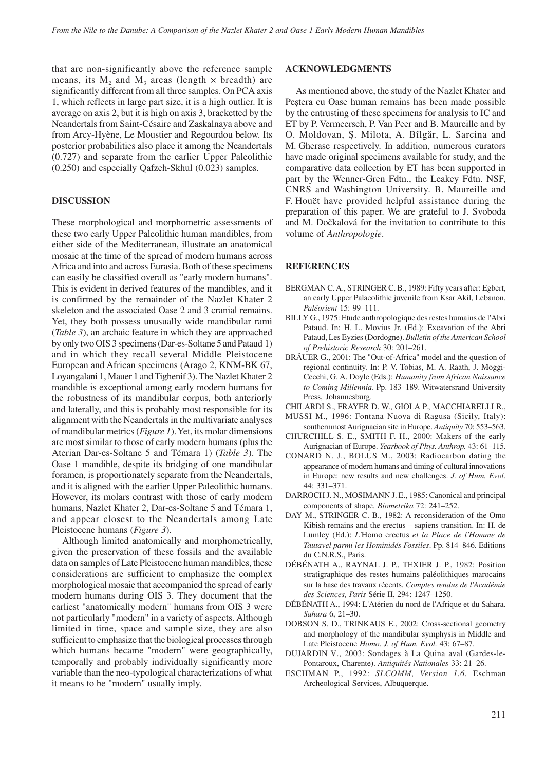that are non-significantly above the reference sample means, its  $M_2$  and  $M_3$  areas (length  $\times$  breadth) are significantly different from all three samples. On PCA axis 1, which reflects in large part size, it is a high outlier. It is average on axis 2, but it is high on axis 3, bracketted by the Neandertals from Saint-Césaire and Zaskalnaya above and from Arcy-Hyène, Le Moustier and Regourdou below. Its posterior probabilities also place it among the Neandertals (0.727) and separate from the earlier Upper Paleolithic (0.250) and especially Qafzeh-Skhul (0.023) samples.

## **DISCUSSION**

These morphological and morphometric assessments of these two early Upper Paleolithic human mandibles, from either side of the Mediterranean, illustrate an anatomical mosaic at the time of the spread of modern humans across Africa and into and across Eurasia. Both of these specimens can easily be classified overall as "early modern humans". This is evident in derived features of the mandibles, and it is confirmed by the remainder of the Nazlet Khater 2 skeleton and the associated Oase 2 and 3 cranial remains. Yet, they both possess unusually wide mandibular rami (*Table 3*), an archaic feature in which they are approached by only two OIS 3 specimens (Dar-es-Soltane 5 and Pataud 1) and in which they recall several Middle Pleistocene European and African specimens (Arago 2, KNM-BK 67, Loyangalani 1, Mauer 1 and Tighenif 3). The Nazlet Khater 2 mandible is exceptional among early modern humans for the robustness of its mandibular corpus, both anteriorly and laterally, and this is probably most responsible for its alignment with the Neandertals in the multivariate analyses of mandibular metrics (*Figure 1*). Yet, its molar dimensions are most similar to those of early modern humans (plus the Aterian Dar-es-Soltane 5 and Témara 1) (*Table 3*). The Oase 1 mandible, despite its bridging of one mandibular foramen, is proportionately separate from the Neandertals, and it is aligned with the earlier Upper Paleolithic humans. However, its molars contrast with those of early modern humans, Nazlet Khater 2, Dar-es-Soltane 5 and Témara 1, and appear closest to the Neandertals among Late Pleistocene humans (*Figure 3*).

Although limited anatomically and morphometrically, given the preservation of these fossils and the available data on samples of Late Pleistocene human mandibles, these considerations are sufficient to emphasize the complex morphological mosaic that accompanied the spread of early modern humans during OIS 3. They document that the earliest "anatomically modern" humans from OIS 3 were not particularly "modern" in a variety of aspects. Although limited in time, space and sample size, they are also sufficient to emphasize that the biological processes through which humans became "modern" were geographically, temporally and probably individually significantly more variable than the neo-typological characterizations of what it means to be "modern" usually imply.

## **ACKNOWLEDGMENTS**

As mentioned above, the study of the Nazlet Khater and Peștera cu Oase human remains has been made possible by the entrusting of these specimens for analysis to IC and ET by P. Vermeersch, P. Van Peer and B. Maureille and by O. Moldovan, Ș. Milota, A. Bîlgăr, L. Sarcina and M. Gherase respectively. In addition, numerous curators have made original specimens available for study, and the comparative data collection by ET has been supported in part by the Wenner-Gren Fdtn., the Leakey Fdtn. NSF, CNRS and Washington University. B. Maureille and F. Houët have provided helpful assistance during the preparation of this paper. We are grateful to J. Svoboda and M. Dočkalová for the invitation to contribute to this volume of *Anthropologie*.

#### **REFERENCES**

- BERGMAN C. A., STRINGER C. B., 1989: Fifty years after: Egbert, an early Upper Palaeolithic juvenile from Ksar Akil, Lebanon. *Paléorient* 15: 99–111.
- BILLY G., 1975: Etude anthropologique des restes humains de l'Abri Pataud. In: H. L. Movius Jr. (Ed.): Excavation of the Abri Pataud, Les Eyzies (Dordogne). *Bulletin of the American School of Prehistoric Research* 30: 201–261.
- BRÄUER G., 2001: The "Out-of-Africa" model and the question of regional continuity. In: P. V. Tobias, M. A. Raath, J. Moggi-Cecchi, G. A. Doyle (Eds.): *Humanity from African Naissance to Coming Millennia*. Pp. 183–189. Witwatersrand University Press, Johannesburg.
- CHILARDI S., FRAYER D. W., GIOLA P., MACCHIARELLI R.,
- MUSSI M., 1996: Fontana Nuova di Ragusa (Sicily, Italy): southernmost Aurignacian site in Europe. *Antiquity* 70: 553–563.
- CHURCHILL S. E., SMITH F. H., 2000: Makers of the early Aurignacian of Europe. *Yearbook of Phys. Anthrop.* 43: 61–115.
- CONARD N. J., BOLUS M., 2003: Radiocarbon dating the appearance of modern humans and timing of cultural innovations in Europe: new results and new challenges. *J. of Hum. Evol.* 44: 331–371.
- DARROCH J. N., MOSIMANN J. E., 1985: Canonical and principal components of shape. *Biometrika* 72: 241–252.
- DAY M., STRINGER C. B., 1982: A reconsideration of the Omo Kibish remains and the erectus – sapiens transition. In: H. de Lumley (Ed.): *L'*Homo erectus *et la Place de l'Homme de Tautavel parmi les Hominidés Fossiles*. Pp. 814–846. Editions du C.N.R.S., Paris.
- DÉBÉNATH A., RAYNAL J. P., TEXIER J. P., 1982: Position stratigraphique des restes humains paléolithiques marocains sur la base des travaux récents. *Comptes rendus de l'Académie des Sciences, Paris* Série II, 294: 1247–1250.
- DÉBÉNATH A., 1994: L'Atérien du nord de l'Afrique et du Sahara. *Sahara* 6, 21–30.
- DOBSON S. D., TRINKAUS E., 2002: Cross-sectional geometry and morphology of the mandibular symphysis in Middle and Late Pleistocene *Homo*. *J. of Hum. Evol.* 43: 67–87.
- DUJARDIN V., 2003: Sondages à La Quina aval (Gardes-le-Pontaroux, Charente). *Antiquités Nationales* 33: 21–26.
- ESCHMAN P., 1992: *SLCOMM, Version 1.6.* Eschman Archeological Services, Albuquerque.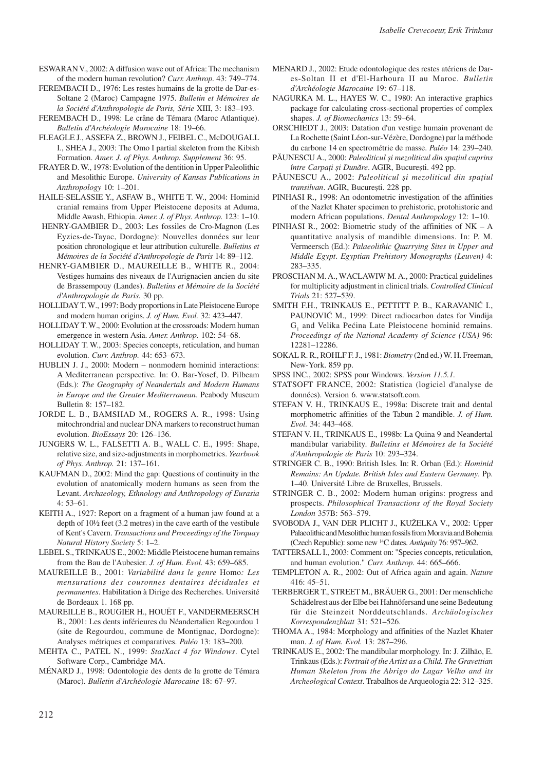ESWARAN V., 2002: A diffusion wave out of Africa: The mechanism of the modern human revolution? *Curr. Anthrop.* 43: 749–774.

FEREMBACH D., 1976: Les restes humains de la grotte de Dar-es-Soltane 2 (Maroc) Campagne 1975. *Bulletin et Mémoires de la Société d'Anthropologie de Paris, Série* XIII, 3: 183–193.

FEREMBACH D., 1998: Le crâne de Témara (Maroc Atlantique). *Bulletin d'Archéologie Marocaine* 18: 19–66.

FLEAGLE J., ASSEFA Z., BROWN J., FEIBEL C., McDOUGALL I., SHEA J., 2003: The Omo I partial skeleton from the Kibish Formation. *Amer. J. of Phys. Anthrop. Supplement* 36: 95.

FRAYER D. W., 1978: Evolution of the dentition in Upper Paleolithic and Mesolithic Europe. *University of Kansas Publications in Anthropology* 10: 1–201.

HAILE-SELASSIE Y., ASFAW B., WHITE T. W., 2004: Hominid cranial remains from Upper Pleistocene deposits at Aduma, Middle Awash, Ethiopia. *Amer. J. of Phys. Anthrop.* 123: 1–10.

 HENRY-GAMBIER D., 2003: Les fossiles de Cro-Magnon (Les Eyzies-de-Tayac, Dordogne): Nouvelles données sur leur position chronologique et leur attribution culturelle. *Bulletins et Mémoires de la Société d'Anthropologie de Paris* 14: 89–112.

HENRY-GAMBIER D., MAUREILLE B., WHITE R., 2004: Vestiges humains des niveaux de l'Aurignacien ancien du site de Brassempouy (Landes). *Bulletins et Mémoire de la Société d'Anthropologie de Paris.* 30 pp.

HOLLIDAY T. W., 1997: Body proportions in Late Pleistocene Europe and modern human origins. *J. of Hum. Evol.* 32: 423–447.

HOLLIDAY T. W., 2000: Evolution at the crossroads: Modern human emergence in western Asia. *Amer. Anthrop.* 102: 54–68.

HOLLIDAY T. W., 2003: Species concepts, reticulation, and human evolution. *Curr. Anthrop.* 44: 653–673.

HUBLIN J. J., 2000: Modern – nonmodern hominid interactions: A Mediterranean perspective. In: O. Bar-Yosef, D. Pilbeam (Eds.): *The Geography of Neandertals and Modern Humans in Europe and the Greater Mediterranean*. Peabody Museum Bulletin 8: 157–182.

JORDE L. B., BAMSHAD M., ROGERS A. R., 1998: Using mitochrondrial and nuclear DNA markers to reconstruct human evolution. *BioEssays* 20: 126–136.

JUNGERS W. L., FALSETTI A. B., WALL C. E., 1995: Shape, relative size, and size-adjustments in morphometrics. *Yearbook of Phys. Anthrop.* 21: 137–161.

KAUFMAN D., 2002: Mind the gap: Questions of continuity in the evolution of anatomically modern humans as seen from the Levant. *Archaeology, Ethnology and Anthropology of Eurasia* 4: 53–61.

KEITH A., 1927: Report on a fragment of a human jaw found at a depth of 10½ feet (3.2 metres) in the cave earth of the vestibule of Kent's Cavern. *Transactions and Proceedings of the Torquay Natural History Society* 5: 1–2.

LEBEL S., TRINKAUS E., 2002: Middle Pleistocene human remains from the Bau de l'Aubesier. *J. of Hum. Evol.* 43: 659–685.

MAUREILLE B., 2001: *Variabilité dans le genre* Homo*: Les mensurations des couronnes dentaires déciduales et permanentes*. Habilitation à Dirige des Recherches. Université de Bordeaux 1. 168 pp.

MAUREILLE B., ROUGIER H., HOUËT F., VANDERMEERSCH B., 2001: Les dents inférieures du Néandertalien Regourdou 1 (site de Regourdou, commune de Montignac, Dordogne): Analyses métriques et comparatives. *Paléo* 13: 183–200.

MEHTA C., PATEL N., 1999: *StatXact 4 for Windows*. Cytel Software Corp., Cambridge MA.

MÉNARD J., 1998: Odontologie des dents de la grotte de Témara (Maroc). *Bulletin d'Archéologie Marocaine* 18: 67–97.

MENARD J., 2002: Etude odontologique des restes atériens de Dares-Soltan II et d'El-Harhoura II au Maroc. *Bulletin d'Archéologie Marocaine* 19: 67–118.

NAGURKA M. L., HAYES W. C., 1980: An interactive graphics package for calculating cross-sectional properties of complex shapes. *J. of Biomechanics* 13: 59–64.

ORSCHIEDT J., 2003: Datation d'un vestige humain provenant de La Rochette (Saint Léon-sur-Vézère, Dordogne) par la méthode du carbone 14 en spectrométrie de masse. *Paléo* 14: 239–240.

PĂUNESCU A., 2000: *Paleoliticul și mezoliticul din spaţiul cuprins între Carpaţi și Dunăre*. AGIR, București. 492 pp.

PĂUNESCU A., 2002: *Paleoliticul și mezoliticul din spaţiul transilvan*. AGIR, București. 228 pp.

PINHASI R., 1998: An odontometric investigation of the affinities of the Nazlet Khater specimen to prehistoric, protohistoric and modern African populations. *Dental Anthropology* 12: 1–10.

PINHASI R., 2002: Biometric study of the affinities of NK – A quantitative analysis of mandible dimensions. In: P. M. Vermeersch (Ed.): *Palaeolithic Quarrying Sites in Upper and Middle Egypt*. *Egyptian Prehistory Monographs (Leuven)* 4: 283–335.

PROSCHAN M. A., WACLAWIW M. A., 2000: Practical guidelines for multiplicity adjustment in clinical trials. *Controlled Clinical Trials* 21: 527–539.

SMITH F.H., TRINKAUS E., PETTITT P. B., KARAVANIĆ I., PAUNOVIĆ M., 1999: Direct radiocarbon dates for Vindija  $G<sub>1</sub>$  and Velika Pećina Late Pleistocene hominid remains. *Proceedings of the National Academy of Science (USA)* 96: 12281–12286.

SOKAL R. R., ROHLF F. J., 1981: *Biometry* (2nd ed.) W. H. Freeman, New-York. 859 pp.

SPSS INC., 2002: SPSS pour Windows. *Version 11.5.1.*

STATSOFT FRANCE, 2002: Statistica (logiciel d'analyse de données). Version 6. www.statsoft.com.

STEFAN V. H., TRINKAUS E., 1998a: Discrete trait and dental morphometric affinities of the Tabun 2 mandible. *J. of Hum. Evol.* 34: 443–468.

STEFAN V. H., TRINKAUS E., 1998b: La Quina 9 and Neandertal mandibular variability. *Bulletins et Mémoires de la Société d'Anthropologie de Paris* 10: 293–324.

STRINGER C. B., 1990: British Isles. In: R. Orban (Ed.): *Hominid Remains: An Update. British Isles and Eastern Germany*. Pp. 1–40. Université Libre de Bruxelles, Brussels.

STRINGER C. B., 2002: Modern human origins: progress and prospects. *Philosophical Transactions of the Royal Society London* 357B: 563–579.

SVOBODA J., VAN DER PLICHT J., KUŽELKA V., 2002: Upper Palaeolithic and Mesolithic human fossils from Moravia and Bohemia (Czech Republic): some new 14C dates. *Antiquity* 76: 957–962.

TATTERSALL I., 2003: Comment on: "Species concepts, reticulation, and human evolution." *Curr. Anthrop.* 44: 665–666.

TEMPLETON A. R., 2002: Out of Africa again and again. *Nature* 416: 45–51.

TERBERGER T., STREET M., BRÄUER G., 2001: Der menschliche Schädelrest aus der Elbe bei Hahnöfersand une seine Bedeutung für die Steinzeit Norddeutschlands. *Archäologisches Korrespondenzblatt* 31: 521–526.

THOMA A., 1984: Morphology and affinities of the Nazlet Khater man. *J. of Hum. Evol.* 13: 287–296.

TRINKAUS E., 2002: The mandibular morphology. In: J. Zilhão, E. Trinkaus (Eds.): *Portrait of the Artist as a Child. The Gravettian Human Skeleton from the Abrigo do Lagar Velho and its Archeological Context*. Trabalhos de Arqueologia 22: 312–325.